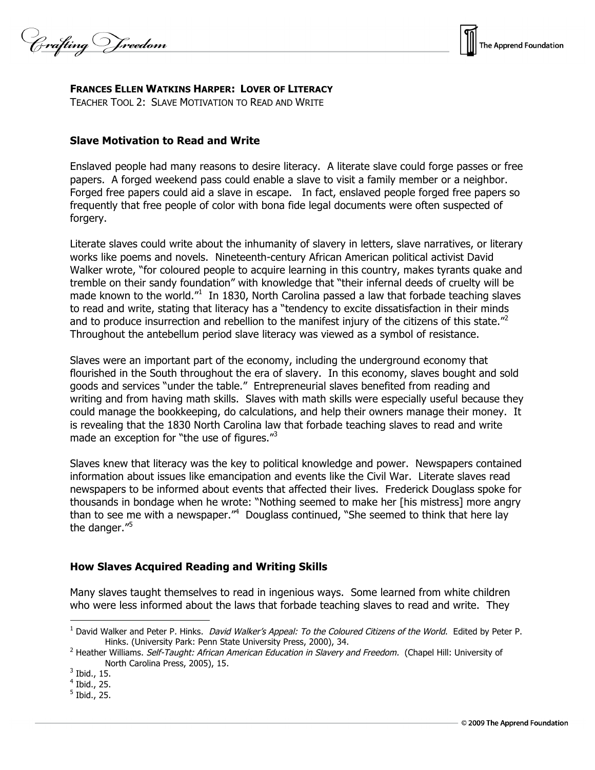

**FRANCES ELLEN WATKINS HARPER: LOVER OF LITERACY**

TEACHER TOOL 2: SLAVE MOTIVATION TO READ AND WRITE

## **Slave Motivation to Read and Write**

Enslaved people had many reasons to desire literacy. A literate slave could forge passes or free papers. A forged weekend pass could enable a slave to visit a family member or a neighbor. Forged free papers could aid a slave in escape. In fact, enslaved people forged free papers so frequently that free people of color with bona fide legal documents were often suspected of forgery.

Literate slaves could write about the inhumanity of slavery in letters, slave narratives, or literary works like poems and novels. Nineteenth-century African American political activist David Walker wrote, "for coloured people to acquire learning in this country, makes tyrants quake and tremble on their sandy foundation" with knowledge that "their infernal deeds of cruelty will be made known to the world."<sup>1</sup> In 1830, North Carolina passed a law that forbade teaching slaves to read and write, stating that literacy has a "tendency to excite dissatisfaction in their minds and to produce insurrection and rebellion to the manifest injury of the citizens of this state."<sup>2</sup> Throughout the antebellum period slave literacy was viewed as a symbol of resistance.

Slaves were an important part of the economy, including the underground economy that flourished in the South throughout the era of slavery. In this economy, slaves bought and sold goods and services "under the table." Entrepreneurial slaves benefited from reading and writing and from having math skills. Slaves with math skills were especially useful because they could manage the bookkeeping, do calculations, and help their owners manage their money. It is revealing that the 1830 North Carolina law that forbade teaching slaves to read and write made an exception for "the use of figures."<sup>3</sup>

Slaves knew that literacy was the key to political knowledge and power. Newspapers contained information about issues like emancipation and events like the Civil War. Literate slaves read newspapers to be informed about events that affected their lives. Frederick Douglass spoke for thousands in bondage when he wrote: "Nothing seemed to make her [his mistress] more angry than to see me with a newspaper."<sup>4</sup> Douglass continued, "She seemed to think that here lay the danger."<sup>5</sup>

## **How Slaves Acquired Reading and Writing Skills**

Many slaves taught themselves to read in ingenious ways. Some learned from white children who were less informed about the laws that forbade teaching slaves to read and write. They

 $3$  Ibid., 15.

 $\overline{a}$ 

<sup>&</sup>lt;sup>1</sup> David Walker and Peter P. Hinks. *David Walker's Appeal: To the Coloured Citizens of the World*. Edited by Peter P. Hinks. (University Park: Penn State University Press, 2000), 34.

<sup>&</sup>lt;sup>2</sup> Heather Williams. Self-Taught: African American Education in Slavery and Freedom. (Chapel Hill: University of North Carolina Press, 2005), 15.

<sup>4</sup> Ibid., 25.

 $<sup>5</sup>$  Ibid., 25.</sup>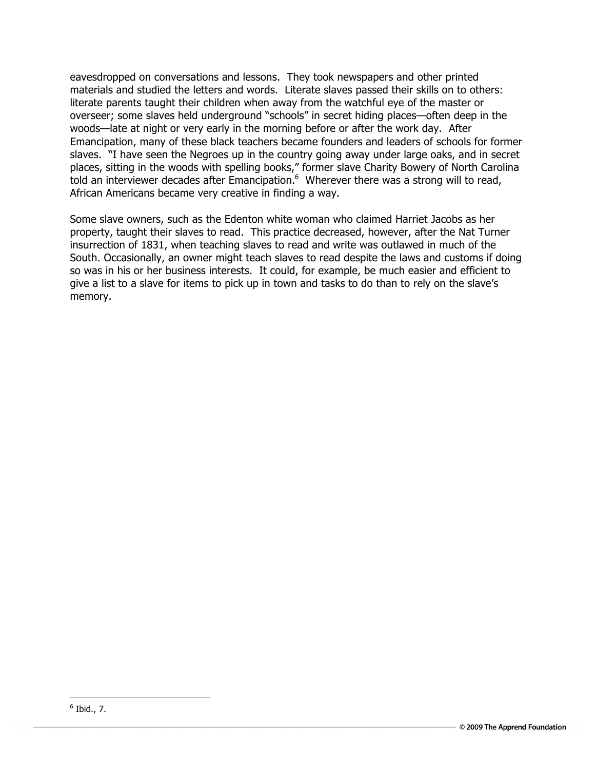eavesdropped on conversations and lessons. They took newspapers and other printed materials and studied the letters and words. Literate slaves passed their skills on to others: literate parents taught their children when away from the watchful eye of the master or overseer; some slaves held underground "schools" in secret hiding places—often deep in the woods—late at night or very early in the morning before or after the work day. After Emancipation, many of these black teachers became founders and leaders of schools for former slaves. "I have seen the Negroes up in the country going away under large oaks, and in secret places, sitting in the woods with spelling books," former slave Charity Bowery of North Carolina told an interviewer decades after Emancipation.<sup>6</sup> Wherever there was a strong will to read, African Americans became very creative in finding a way.

Some slave owners, such as the Edenton white woman who claimed Harriet Jacobs as her property, taught their slaves to read. This practice decreased, however, after the Nat Turner insurrection of 1831, when teaching slaves to read and write was outlawed in much of the South. Occasionally, an owner might teach slaves to read despite the laws and customs if doing so was in his or her business interests. It could, for example, be much easier and efficient to give a list to a slave for items to pick up in town and tasks to do than to rely on the slave's memory.

 $\overline{a}$  $6$  Ibid., 7.